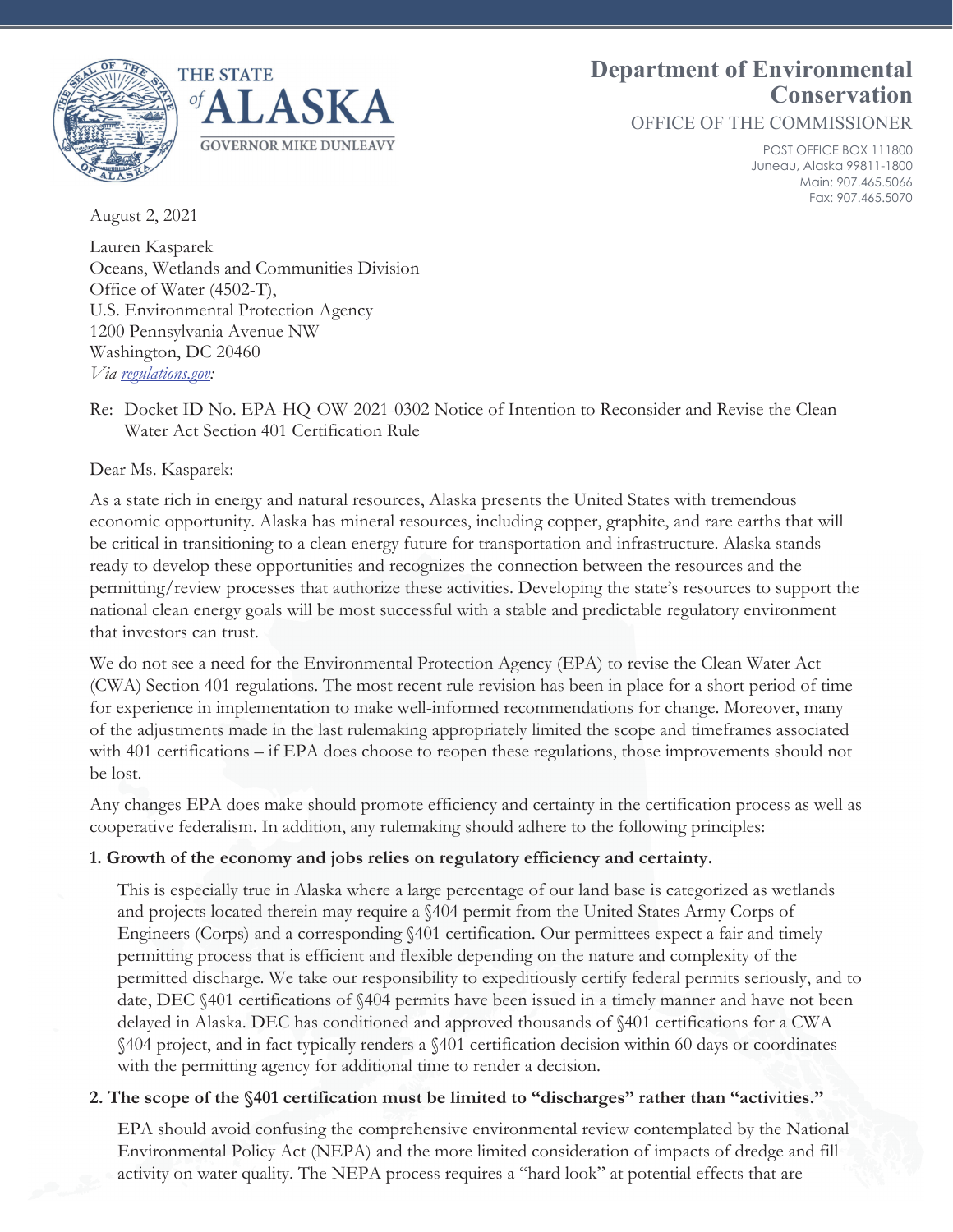

# **Department of Environmental Conservation**

OFFICE OF THE COMMISSIONER

POST OFFICE BOX 111800 Juneau, Alaska 99811-1800 Main: 907.465.5066 Fax: 907.465.5070

August 2, 2021

Lauren Kasparek Oceans, Wetlands and Communities Division Office of Water (4502-T), U.S. Environmental Protection Agency 1200 Pennsylvania Avenue NW Washington, DC 20460 *Via regulations.gov:* 

Re: Docket ID No. EPA-HQ-OW-2021-0302 Notice of Intention to Reconsider and Revise the Clean Water Act Section 401 Certification Rule

Dear Ms. Kasparek:

As a state rich in energy and natural resources, Alaska presents the United States with tremendous economic opportunity. Alaska has mineral resources, including copper, graphite, and rare earths that will be critical in transitioning to a clean energy future for transportation and infrastructure. Alaska stands ready to develop these opportunities and recognizes the connection between the resources and the permitting/review processes that authorize these activities. Developing the state's resources to support the national clean energy goals will be most successful with a stable and predictable regulatory environment that investors can trust.

We do not see a need for the Environmental Protection Agency (EPA) to revise the Clean Water Act (CWA) Section 401 regulations. The most recent rule revision has been in place for a short period of time for experience in implementation to make well-informed recommendations for change. Moreover, many of the adjustments made in the last rulemaking appropriately limited the scope and timeframes associated with 401 certifications – if EPA does choose to reopen these regulations, those improvements should not be lost.

Any changes EPA does make should promote efficiency and certainty in the certification process as well as cooperative federalism. In addition, any rulemaking should adhere to the following principles:

### **1. Growth of the economy and jobs relies on regulatory efficiency and certainty.**

This is especially true in Alaska where a large percentage of our land base is categorized as wetlands and projects located therein may require a §404 permit from the United States Army Corps of Engineers (Corps) and a corresponding §401 certification. Our permittees expect a fair and timely permitting process that is efficient and flexible depending on the nature and complexity of the permitted discharge. We take our responsibility to expeditiously certify federal permits seriously, and to date, DEC §401 certifications of §404 permits have been issued in a timely manner and have not been delayed in Alaska. DEC has conditioned and approved thousands of §401 certifications for a CWA §404 project, and in fact typically renders a §401 certification decision within 60 days or coordinates with the permitting agency for additional time to render a decision.

### **2. The scope of the §401 certification must be limited to "discharges" rather than "activities."**

EPA should avoid confusing the comprehensive environmental review contemplated by the National Environmental Policy Act (NEPA) and the more limited consideration of impacts of dredge and fill activity on water quality. The NEPA process requires a "hard look" at potential effects that are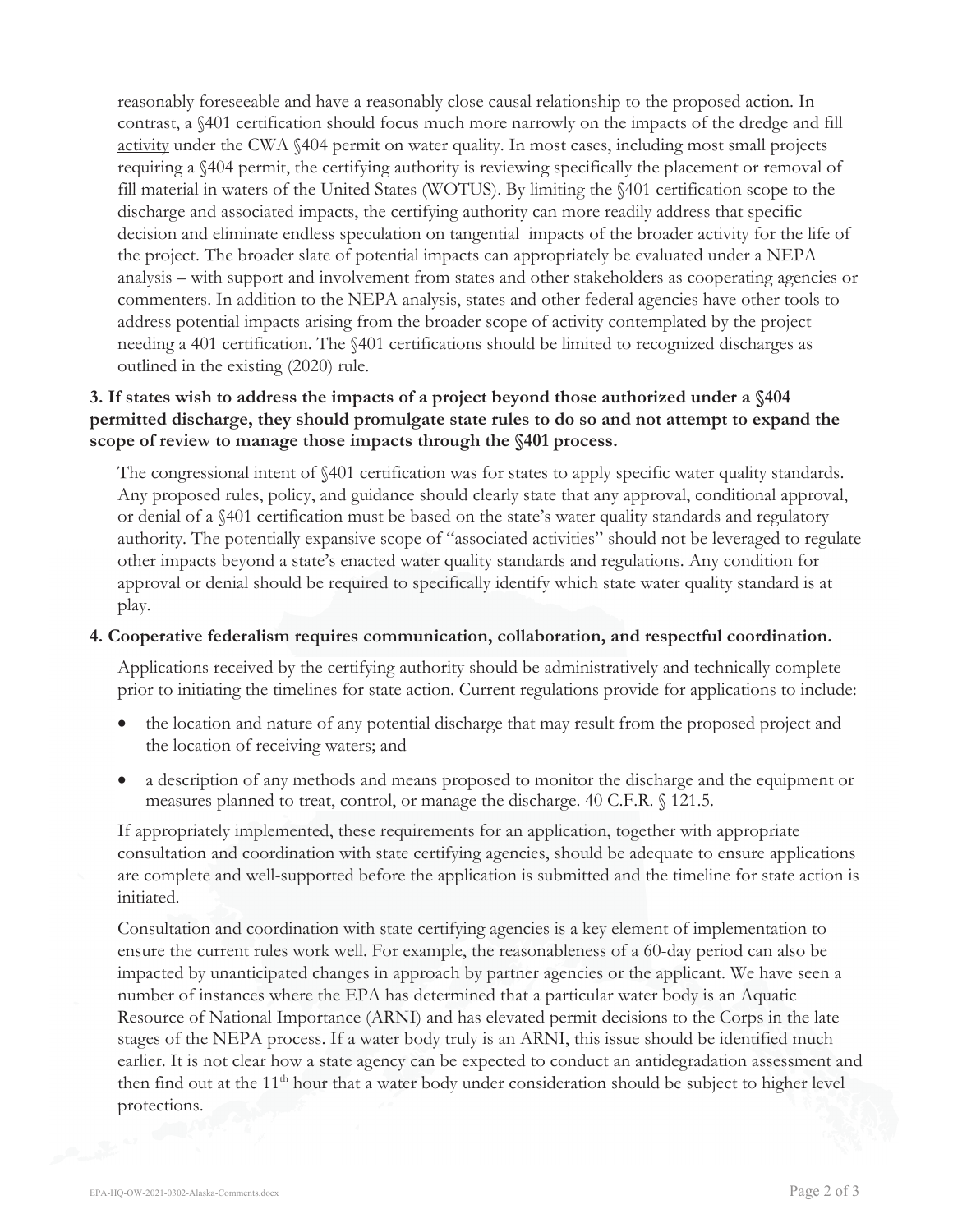reasonably foreseeable and have a reasonably close causal relationship to the proposed action. In contrast, a §401 certification should focus much more narrowly on the impacts of the dredge and fill activity under the CWA §404 permit on water quality. In most cases, including most small projects requiring a §404 permit, the certifying authority is reviewing specifically the placement or removal of fill material in waters of the United States (WOTUS). By limiting the §401 certification scope to the discharge and associated impacts, the certifying authority can more readily address that specific decision and eliminate endless speculation on tangential impacts of the broader activity for the life of the project. The broader slate of potential impacts can appropriately be evaluated under a NEPA analysis – with support and involvement from states and other stakeholders as cooperating agencies or commenters. In addition to the NEPA analysis, states and other federal agencies have other tools to address potential impacts arising from the broader scope of activity contemplated by the project needing a 401 certification. The §401 certifications should be limited to recognized discharges as outlined in the existing (2020) rule.

# **3. If states wish to address the impacts of a project beyond those authorized under a §404 permitted discharge, they should promulgate state rules to do so and not attempt to expand the scope of review to manage those impacts through the §401 process.**

The congressional intent of §401 certification was for states to apply specific water quality standards. Any proposed rules, policy, and guidance should clearly state that any approval, conditional approval, or denial of a §401 certification must be based on the state's water quality standards and regulatory authority. The potentially expansive scope of "associated activities" should not be leveraged to regulate other impacts beyond a state's enacted water quality standards and regulations. Any condition for approval or denial should be required to specifically identify which state water quality standard is at play.

#### **4. Cooperative federalism requires communication, collaboration, and respectful coordination.**

Applications received by the certifying authority should be administratively and technically complete prior to initiating the timelines for state action. Current regulations provide for applications to include:

- x the location and nature of any potential discharge that may result from the proposed project and the location of receiving waters; and
- x a description of any methods and means proposed to monitor the discharge and the equipment or measures planned to treat, control, or manage the discharge. 40 C.F.R. § 121.5.

If appropriately implemented, these requirements for an application, together with appropriate consultation and coordination with state certifying agencies, should be adequate to ensure applications are complete and well-supported before the application is submitted and the timeline for state action is initiated.

Consultation and coordination with state certifying agencies is a key element of implementation to ensure the current rules work well. For example, the reasonableness of a 60-day period can also be impacted by unanticipated changes in approach by partner agencies or the applicant. We have seen a number of instances where the EPA has determined that a particular water body is an Aquatic Resource of National Importance (ARNI) and has elevated permit decisions to the Corps in the late stages of the NEPA process. If a water body truly is an ARNI, this issue should be identified much earlier. It is not clear how a state agency can be expected to conduct an antidegradation assessment and then find out at the 11<sup>th</sup> hour that a water body under consideration should be subject to higher level protections.